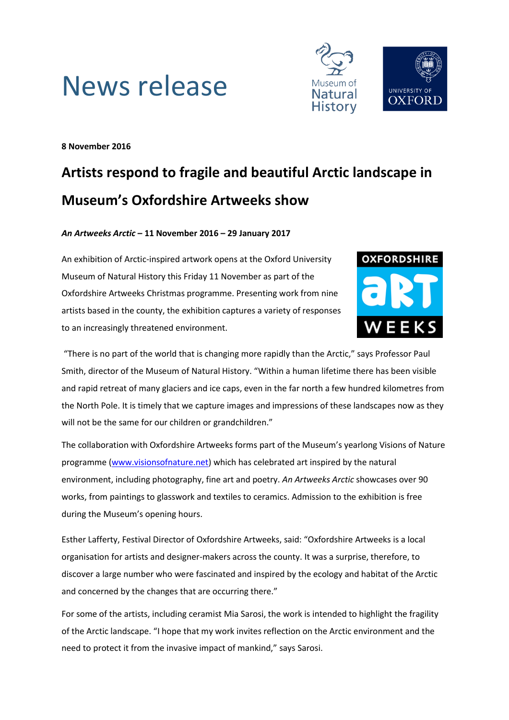



**8 November 2016**

# **Artists respond to fragile and beautiful Arctic landscape in Museum's Oxfordshire Artweeks show**

## *An Artweeks Arctic* **– 11 November 2016 – 29 January 2017**

An exhibition of Arctic-inspired artwork opens at the Oxford University Museum of Natural History this Friday 11 November as part of the Oxfordshire Artweeks Christmas programme. Presenting work from nine artists based in the county, the exhibition captures a variety of responses to an increasingly threatened environment.



"There is no part of the world that is changing more rapidly than the Arctic," says Professor Paul Smith, director of the Museum of Natural History. "Within a human lifetime there has been visible and rapid retreat of many glaciers and ice caps, even in the far north a few hundred kilometres from the North Pole. It is timely that we capture images and impressions of these landscapes now as they will not be the same for our children or grandchildren."

The collaboration with Oxfordshire Artweeks forms part of the Museum's yearlong Visions of Nature programme [\(www.visionsofnature.net\)](http://www.visionsofnature.net/) which has celebrated art inspired by the natural environment, including photography, fine art and poetry. *An Artweeks Arctic* showcases over 90 works, from paintings to glasswork and textiles to ceramics. Admission to the exhibition is free during the Museum's opening hours.

Esther Lafferty, Festival Director of Oxfordshire Artweeks, said: "Oxfordshire Artweeks is a local organisation for artists and designer-makers across the county. It was a surprise, therefore, to discover a large number who were fascinated and inspired by the ecology and habitat of the Arctic and concerned by the changes that are occurring there."

For some of the artists, including ceramist Mia Sarosi, the work is intended to highlight the fragility of the Arctic landscape. "I hope that my work invites reflection on the Arctic environment and the need to protect it from the invasive impact of mankind," says Sarosi.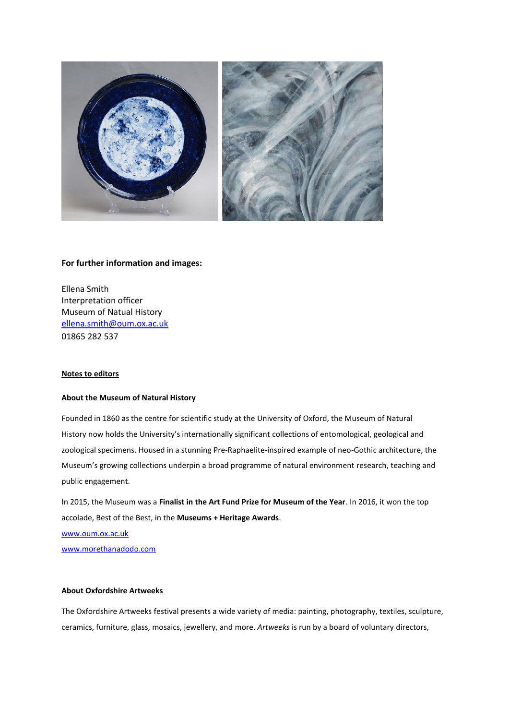

## **For further information and images:**

Ellena Smith Interpretation officer Museum of Natual History [ellena.smith@oum.ox.ac.uk](mailto:ellena.smith@oum.ox.ac.uk) 01865 282 537

#### **Notes to editors**

### **About the Museum of Natural History**

Founded in 1860 as the centre for scientific study at the University of Oxford, the Museum of Natural History now holds the University's internationally significant collections of entomological, geological and zoological specimens. Housed in a stunning Pre-Raphaelite-inspired example of neo-Gothic architecture, the Museum's growing collections underpin a broad programme of natural environment research, teaching and public engagement.

In 2015, the Museum was a **Finalist in the Art Fund Prize for Museum of the Year**. In 2016, it won the top accolade, Best of the Best, in the **Museums + Heritage Awards**.

[www.oum.ox.ac.uk](http://www.oum.ox.ac.uk/)

[www.morethanadodo.com](http://www.morethanadodo.com/)

#### **About Oxfordshire Artweeks**

The Oxfordshire Artweeks festival presents a wide variety of media: painting, photography, textiles, sculpture, ceramics, furniture, glass, mosaics, jewellery, and more. *Artweeks* is run by a board of voluntary directors,